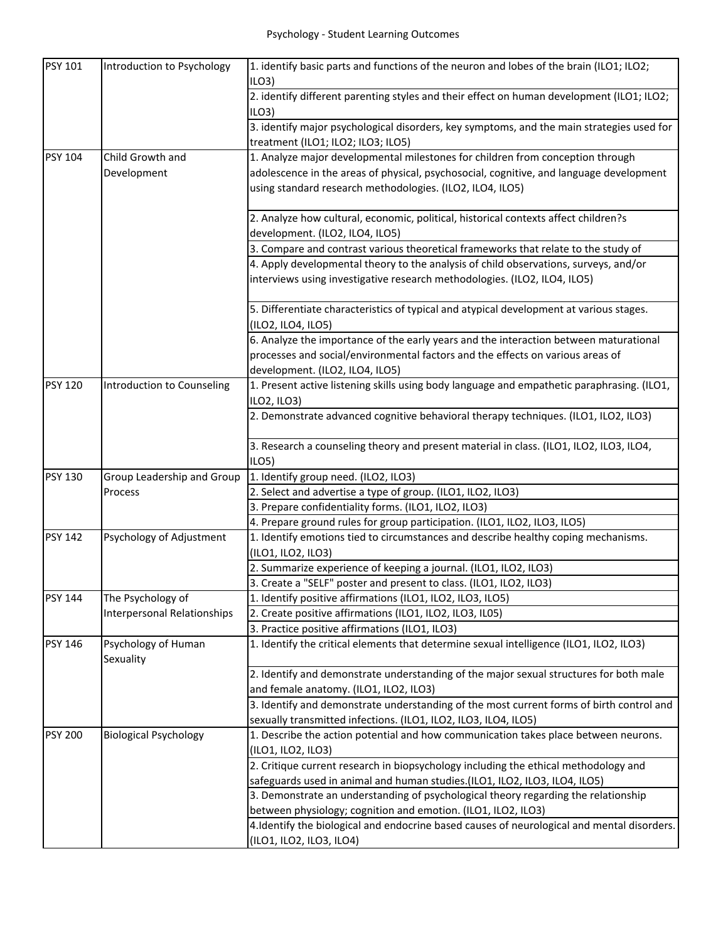| <b>PSY 101</b> | Introduction to Psychology       | 1. identify basic parts and functions of the neuron and lobes of the brain (ILO1; ILO2;<br>ILO3                                 |
|----------------|----------------------------------|---------------------------------------------------------------------------------------------------------------------------------|
|                |                                  | 2. identify different parenting styles and their effect on human development (ILO1; ILO2;<br>ILO3)                              |
|                |                                  | 3. identify major psychological disorders, key symptoms, and the main strategies used for<br>treatment (ILO1; ILO2; ILO3; ILO5) |
| <b>PSY 104</b> | Child Growth and                 | 1. Analyze major developmental milestones for children from conception through                                                  |
|                | Development                      | adolescence in the areas of physical, psychosocial, cognitive, and language development                                         |
|                |                                  | using standard research methodologies. (ILO2, ILO4, ILO5)                                                                       |
|                |                                  | 2. Analyze how cultural, economic, political, historical contexts affect children?s                                             |
|                |                                  | development. (ILO2, ILO4, ILO5)                                                                                                 |
|                |                                  | 3. Compare and contrast various theoretical frameworks that relate to the study of                                              |
|                |                                  | 4. Apply developmental theory to the analysis of child observations, surveys, and/or                                            |
|                |                                  | interviews using investigative research methodologies. (ILO2, ILO4, ILO5)                                                       |
|                |                                  | 5. Differentiate characteristics of typical and atypical development at various stages.<br>(ILO2, ILO4, ILO5)                   |
|                |                                  | 6. Analyze the importance of the early years and the interaction between maturational                                           |
|                |                                  | processes and social/environmental factors and the effects on various areas of                                                  |
|                |                                  | development. (ILO2, ILO4, ILO5)                                                                                                 |
| <b>PSY 120</b> | Introduction to Counseling       | 1. Present active listening skills using body language and empathetic paraphrasing. (ILO1,                                      |
|                |                                  | ILO2, ILO3)                                                                                                                     |
|                |                                  | 2. Demonstrate advanced cognitive behavioral therapy techniques. (ILO1, ILO2, ILO3)                                             |
|                |                                  | 3. Research a counseling theory and present material in class. (ILO1, ILO2, ILO3, ILO4,                                         |
|                |                                  | ILO5)                                                                                                                           |
| <b>PSY 130</b> | Group Leadership and Group       | 1. Identify group need. (ILO2, ILO3)                                                                                            |
|                | Process                          | 2. Select and advertise a type of group. (ILO1, ILO2, ILO3)                                                                     |
|                |                                  | 3. Prepare confidentiality forms. (ILO1, ILO2, ILO3)                                                                            |
|                |                                  | 4. Prepare ground rules for group participation. (ILO1, ILO2, ILO3, ILO5)                                                       |
| <b>PSY 142</b> | Psychology of Adjustment         | 1. Identify emotions tied to circumstances and describe healthy coping mechanisms.<br>(ILO1, ILO2, ILO3)                        |
|                |                                  | 2. Summarize experience of keeping a journal. (ILO1, ILO2, ILO3)                                                                |
|                |                                  | 3. Create a "SELF" poster and present to class. (ILO1, ILO2, ILO3)                                                              |
| <b>PSY 144</b> | The Psychology of                | 1. Identify positive affirmations (ILO1, ILO2, ILO3, ILO5)                                                                      |
|                | Interpersonal Relationships      | 2. Create positive affirmations (ILO1, ILO2, ILO3, IL05)                                                                        |
|                |                                  | 3. Practice positive affirmations (ILO1, ILO3)                                                                                  |
| <b>PSY 146</b> | Psychology of Human<br>Sexuality | 1. Identify the critical elements that determine sexual intelligence (ILO1, ILO2, ILO3)                                         |
|                |                                  | 2. Identify and demonstrate understanding of the major sexual structures for both male                                          |
|                |                                  | and female anatomy. (ILO1, ILO2, ILO3)                                                                                          |
|                |                                  | 3. Identify and demonstrate understanding of the most current forms of birth control and                                        |
|                |                                  | sexually transmitted infections. (ILO1, ILO2, ILO3, ILO4, ILO5)                                                                 |
| <b>PSY 200</b> | <b>Biological Psychology</b>     | 1. Describe the action potential and how communication takes place between neurons.                                             |
|                |                                  | (ILO1, ILO2, ILO3)                                                                                                              |
|                |                                  | 2. Critique current research in biopsychology including the ethical methodology and                                             |
|                |                                  | safeguards used in animal and human studies.(ILO1, ILO2, ILO3, ILO4, ILO5)                                                      |
|                |                                  | 3. Demonstrate an understanding of psychological theory regarding the relationship                                              |
|                |                                  | between physiology; cognition and emotion. (ILO1, ILO2, ILO3)                                                                   |
|                |                                  | 4. Identify the biological and endocrine based causes of neurological and mental disorders.                                     |
|                |                                  | (ILO1, ILO2, ILO3, ILO4)                                                                                                        |